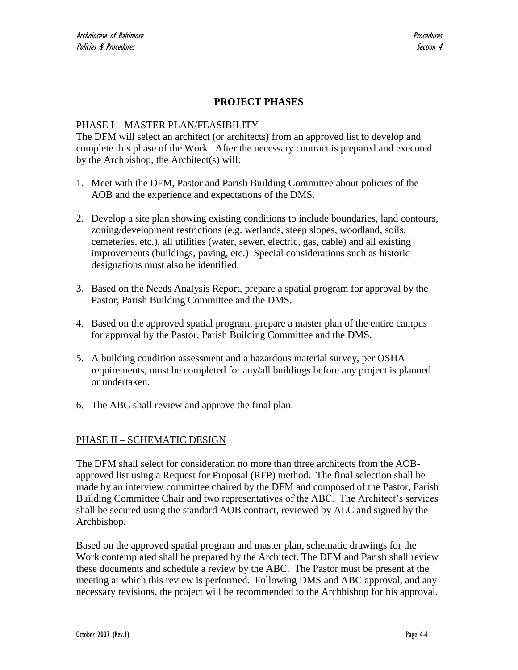# **PROJECT PHASES**

#### PHASE I – MASTER PLAN/FEASIBILITY

The DFM will select an architect (or architects) from an approved list to develop and complete this phase of the Work. After the necessary contract is prepared and executed by the Archbishop, the Architect(s) will:

- 1. Meet with the DFM, Pastor and Parish Building Committee about policies of the AOB and the experience and expectations of the DMS.
- 2. Develop a site plan showing existing conditions to include boundaries, land contours, zoning/development restrictions (e.g. wetlands, steep slopes, woodland, soils, cemeteries, etc.), all utilities (water, sewer, electric, gas, cable) and all existing improvements (buildings, paving, etc.) Special considerations such as historic designations must also be identified.
- 3. Based on the Needs Analysis Report, prepare a spatial program for approval by the Pastor, Parish Building Committee and the DMS.
- 4. Based on the approved spatial program, prepare a master plan of the entire campus for approval by the Pastor, Parish Building Committee and the DMS.
- 5. A building condition assessment and a hazardous material survey, per OSHA requirements, must be completed for any/all buildings before any project is planned or undertaken.
- 6. The ABC shall review and approve the final plan.

### PHASE II – SCHEMATIC DESIGN

The DFM shall select for consideration no more than three architects from the AOBapproved list using a Request for Proposal (RFP) method. The final selection shall be made by an interview committee chaired by the DFM and composed of the Pastor, Parish Building Committee Chair and two representatives of the ABC. The Architect's services shall be secured using the standard AOB contract, reviewed by ALC and signed by the Archbishop.

Based on the approved spatial program and master plan, schematic drawings for the Work contemplated shall be prepared by the Architect. The DFM and Parish shall review these documents and schedule a review by the ABC. The Pastor must be present at the meeting at which this review is performed. Following DMS and ABC approval, and any necessary revisions, the project will be recommended to the Archbishop for his approval.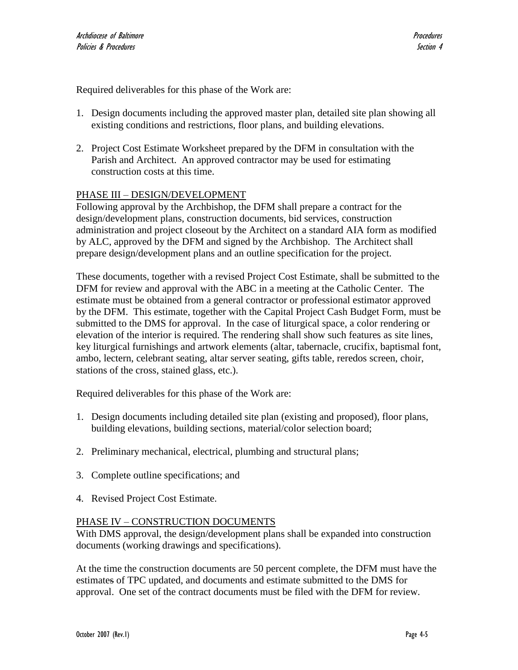Required deliverables for this phase of the Work are:

- 1. Design documents including the approved master plan, detailed site plan showing all existing conditions and restrictions, floor plans, and building elevations.
- 2. Project Cost Estimate Worksheet prepared by the DFM in consultation with the Parish and Architect. An approved contractor may be used for estimating construction costs at this time.

# PHASE III – DESIGN/DEVELOPMENT

Following approval by the Archbishop, the DFM shall prepare a contract for the design/development plans, construction documents, bid services, construction administration and project closeout by the Architect on a standard AIA form as modified by ALC, approved by the DFM and signed by the Archbishop. The Architect shall prepare design/development plans and an outline specification for the project.

These documents, together with a revised Project Cost Estimate, shall be submitted to the DFM for review and approval with the ABC in a meeting at the Catholic Center. The estimate must be obtained from a general contractor or professional estimator approved by the DFM. This estimate, together with the Capital Project Cash Budget Form, must be submitted to the DMS for approval. In the case of liturgical space, a color rendering or elevation of the interior is required. The rendering shall show such features as site lines, key liturgical furnishings and artwork elements (altar, tabernacle, crucifix, baptismal font, ambo, lectern, celebrant seating, altar server seating, gifts table, reredos screen, choir, stations of the cross, stained glass, etc.).

Required deliverables for this phase of the Work are:

- 1. Design documents including detailed site plan (existing and proposed), floor plans, building elevations, building sections, material/color selection board;
- 2. Preliminary mechanical, electrical, plumbing and structural plans;
- 3. Complete outline specifications; and
- 4. Revised Project Cost Estimate.

### PHASE IV – CONSTRUCTION DOCUMENTS

With DMS approval, the design/development plans shall be expanded into construction documents (working drawings and specifications).

At the time the construction documents are 50 percent complete, the DFM must have the estimates of TPC updated, and documents and estimate submitted to the DMS for approval. One set of the contract documents must be filed with the DFM for review.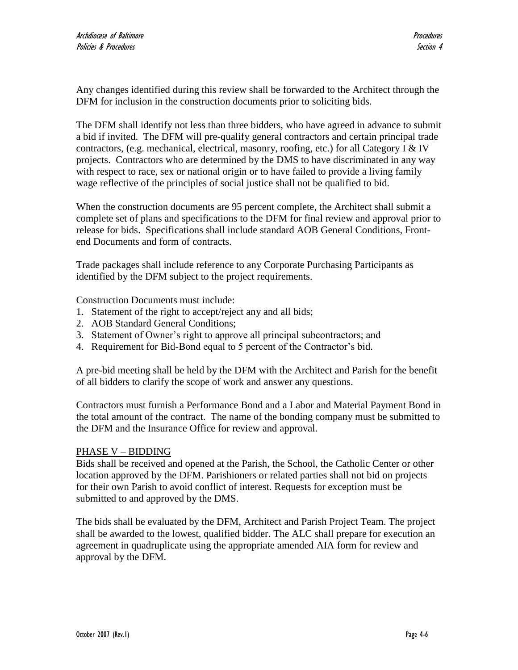Any changes identified during this review shall be forwarded to the Architect through the DFM for inclusion in the construction documents prior to soliciting bids.

The DFM shall identify not less than three bidders, who have agreed in advance to submit a bid if invited. The DFM will pre-qualify general contractors and certain principal trade contractors, (e.g. mechanical, electrical, masonry, roofing, etc.) for all Category I & IV projects. Contractors who are determined by the DMS to have discriminated in any way with respect to race, sex or national origin or to have failed to provide a living family wage reflective of the principles of social justice shall not be qualified to bid.

When the construction documents are 95 percent complete, the Architect shall submit a complete set of plans and specifications to the DFM for final review and approval prior to release for bids. Specifications shall include standard AOB General Conditions, Frontend Documents and form of contracts.

Trade packages shall include reference to any Corporate Purchasing Participants as identified by the DFM subject to the project requirements.

Construction Documents must include:

- 1. Statement of the right to accept/reject any and all bids;
- 2. AOB Standard General Conditions;
- 3. Statement of Owner's right to approve all principal subcontractors; and
- 4. Requirement for Bid-Bond equal to 5 percent of the Contractor's bid.

A pre-bid meeting shall be held by the DFM with the Architect and Parish for the benefit of all bidders to clarify the scope of work and answer any questions.

Contractors must furnish a Performance Bond and a Labor and Material Payment Bond in the total amount of the contract. The name of the bonding company must be submitted to the DFM and the Insurance Office for review and approval.

#### PHASE V – BIDDING

Bids shall be received and opened at the Parish, the School, the Catholic Center or other location approved by the DFM. Parishioners or related parties shall not bid on projects for their own Parish to avoid conflict of interest. Requests for exception must be submitted to and approved by the DMS.

The bids shall be evaluated by the DFM, Architect and Parish Project Team. The project shall be awarded to the lowest, qualified bidder. The ALC shall prepare for execution an agreement in quadruplicate using the appropriate amended AIA form for review and approval by the DFM.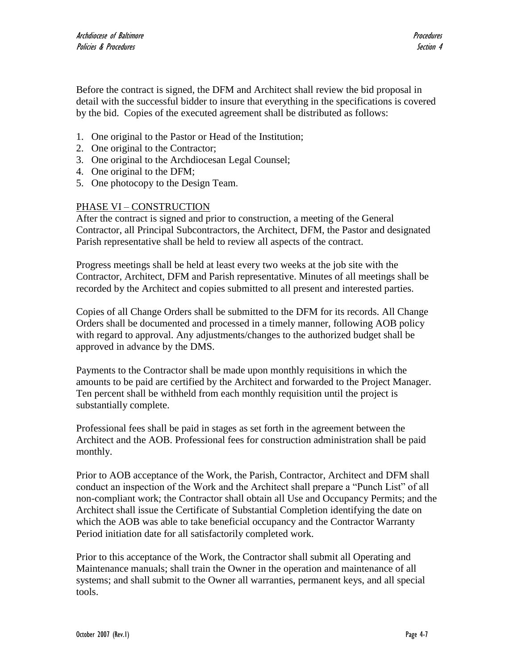Before the contract is signed, the DFM and Architect shall review the bid proposal in detail with the successful bidder to insure that everything in the specifications is covered by the bid. Copies of the executed agreement shall be distributed as follows:

- 1. One original to the Pastor or Head of the Institution;
- 2. One original to the Contractor;
- 3. One original to the Archdiocesan Legal Counsel;
- 4. One original to the DFM;
- 5. One photocopy to the Design Team.

# PHASE VI – CONSTRUCTION

After the contract is signed and prior to construction, a meeting of the General Contractor, all Principal Subcontractors, the Architect, DFM, the Pastor and designated Parish representative shall be held to review all aspects of the contract.

Progress meetings shall be held at least every two weeks at the job site with the Contractor, Architect, DFM and Parish representative. Minutes of all meetings shall be recorded by the Architect and copies submitted to all present and interested parties.

Copies of all Change Orders shall be submitted to the DFM for its records. All Change Orders shall be documented and processed in a timely manner, following AOB policy with regard to approval. Any adjustments/changes to the authorized budget shall be approved in advance by the DMS.

Payments to the Contractor shall be made upon monthly requisitions in which the amounts to be paid are certified by the Architect and forwarded to the Project Manager. Ten percent shall be withheld from each monthly requisition until the project is substantially complete.

Professional fees shall be paid in stages as set forth in the agreement between the Architect and the AOB. Professional fees for construction administration shall be paid monthly.

Prior to AOB acceptance of the Work, the Parish, Contractor, Architect and DFM shall conduct an inspection of the Work and the Architect shall prepare a "Punch List" of all non-compliant work; the Contractor shall obtain all Use and Occupancy Permits; and the Architect shall issue the Certificate of Substantial Completion identifying the date on which the AOB was able to take beneficial occupancy and the Contractor Warranty Period initiation date for all satisfactorily completed work.

Prior to this acceptance of the Work, the Contractor shall submit all Operating and Maintenance manuals; shall train the Owner in the operation and maintenance of all systems; and shall submit to the Owner all warranties, permanent keys, and all special tools.